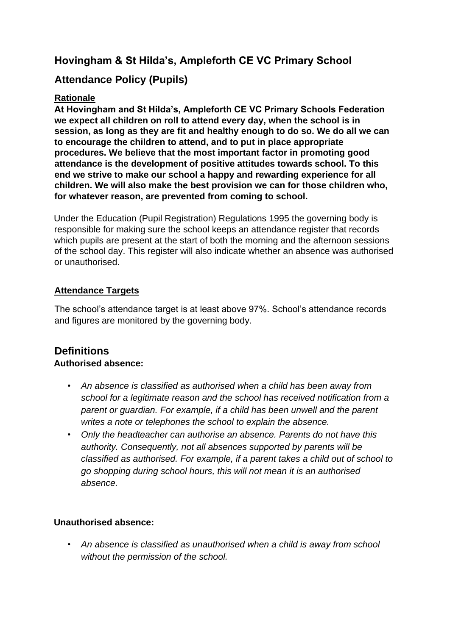# **Hovingham & St Hilda's, Ampleforth CE VC Primary School**

# **Attendance Policy (Pupils)**

# **Rationale**

**At Hovingham and St Hilda's, Ampleforth CE VC Primary Schools Federation we expect all children on roll to attend every day, when the school is in session, as long as they are fit and healthy enough to do so. We do all we can to encourage the children to attend, and to put in place appropriate procedures. We believe that the most important factor in promoting good attendance is the development of positive attitudes towards school. To this end we strive to make our school a happy and rewarding experience for all children. We will also make the best provision we can for those children who, for whatever reason, are prevented from coming to school.** 

Under the Education (Pupil Registration) Regulations 1995 the governing body is responsible for making sure the school keeps an attendance register that records which pupils are present at the start of both the morning and the afternoon sessions of the school day. This register will also indicate whether an absence was authorised or unauthorised.

# **Attendance Targets**

The school's attendance target is at least above 97%. School's attendance records and figures are monitored by the governing body.

# **Definitions Authorised absence:**

- *An absence is classified as authorised when a child has been away from school for a legitimate reason and the school has received notification from a parent or guardian. For example, if a child has been unwell and the parent writes a note or telephones the school to explain the absence.*
- *Only the headteacher can authorise an absence. Parents do not have this authority. Consequently, not all absences supported by parents will be classified as authorised. For example, if a parent takes a child out of school to go shopping during school hours, this will not mean it is an authorised absence.*

# **Unauthorised absence:**

• *An absence is classified as unauthorised when a child is away from school without the permission of the school.*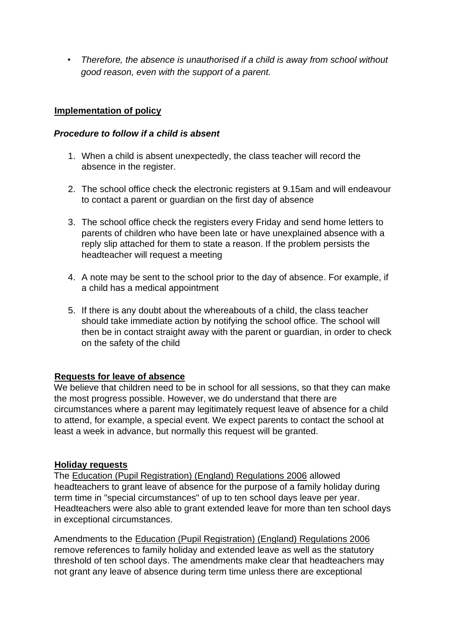• *Therefore, the absence is unauthorised if a child is away from school without good reason, even with the support of a parent.* 

### **Implementation of policy**

#### *Procedure to follow if a child is absent*

- 1. When a child is absent unexpectedly, the class teacher will record the absence in the register.
- 2. The school office check the electronic registers at 9.15am and will endeavour to contact a parent or guardian on the first day of absence
- 3. The school office check the registers every Friday and send home letters to parents of children who have been late or have unexplained absence with a reply slip attached for them to state a reason. If the problem persists the headteacher will request a meeting
- 4. A note may be sent to the school prior to the day of absence. For example, if a child has a medical appointment
- 5. If there is any doubt about the whereabouts of a child, the class teacher should take immediate action by notifying the school office. The school will then be in contact straight away with the parent or guardian, in order to check on the safety of the child

#### **Requests for leave of absence**

We believe that children need to be in school for all sessions, so that they can make the most progress possible. However, we do understand that there are circumstances where a parent may legitimately request leave of absence for a child to attend, for example, a special event. We expect parents to contact the school at least a week in advance, but normally this request will be granted.

#### **Holiday requests**

The [Education \(Pupil Registration\) \(England\) Regulations 2006](http://www.legislation.gov.uk/uksi/2006/1751/contents/made) [a](http://www.legislation.gov.uk/uksi/2006/1751/contents/made)llowed headteachers to grant leave of absence for the purpose of a family holiday during term time in "special circumstances" of up to ten school days leave per year. Headteachers were also able to grant extended leave for more than ten school days in exceptional circumstances.

Amendments to the [Education \(Pupil Registration\) \(England\) Regulations 2006](http://www.legislation.gov.uk/uksi/2006/1751/contents/made) remove references to family holiday and extended leave as well as the statutory threshold of ten school days. The amendments make clear that headteachers may not grant any leave of absence during term time unless there are exceptional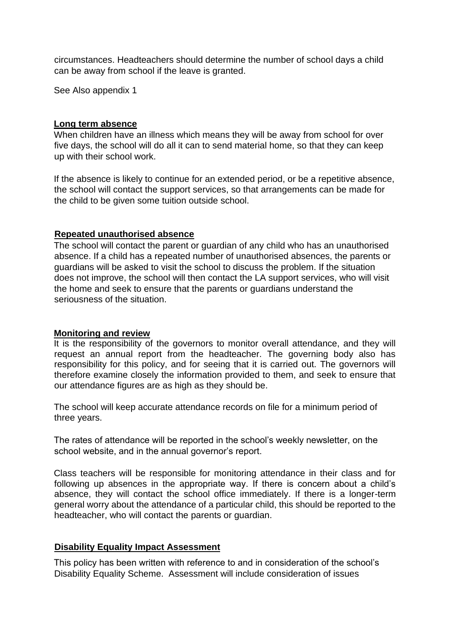circumstances. Headteachers should determine the number of school days a child can be away from school if the leave is granted.

See Also appendix 1

#### **Long term absence**

When children have an illness which means they will be away from school for over five days, the school will do all it can to send material home, so that they can keep up with their school work.

If the absence is likely to continue for an extended period, or be a repetitive absence, the school will contact the support services, so that arrangements can be made for the child to be given some tuition outside school.

#### **Repeated unauthorised absence**

The school will contact the parent or guardian of any child who has an unauthorised absence. If a child has a repeated number of unauthorised absences, the parents or guardians will be asked to visit the school to discuss the problem. If the situation does not improve, the school will then contact the LA support services, who will visit the home and seek to ensure that the parents or guardians understand the seriousness of the situation.

#### **Monitoring and review**

It is the responsibility of the governors to monitor overall attendance, and they will request an annual report from the headteacher. The governing body also has responsibility for this policy, and for seeing that it is carried out. The governors will therefore examine closely the information provided to them, and seek to ensure that our attendance figures are as high as they should be.

The school will keep accurate attendance records on file for a minimum period of three years.

The rates of attendance will be reported in the school's weekly newsletter, on the school website, and in the annual governor's report.

Class teachers will be responsible for monitoring attendance in their class and for following up absences in the appropriate way. If there is concern about a child's absence, they will contact the school office immediately. If there is a longer-term general worry about the attendance of a particular child, this should be reported to the headteacher, who will contact the parents or guardian.

#### **Disability Equality Impact Assessment**

This policy has been written with reference to and in consideration of the school's Disability Equality Scheme. Assessment will include consideration of issues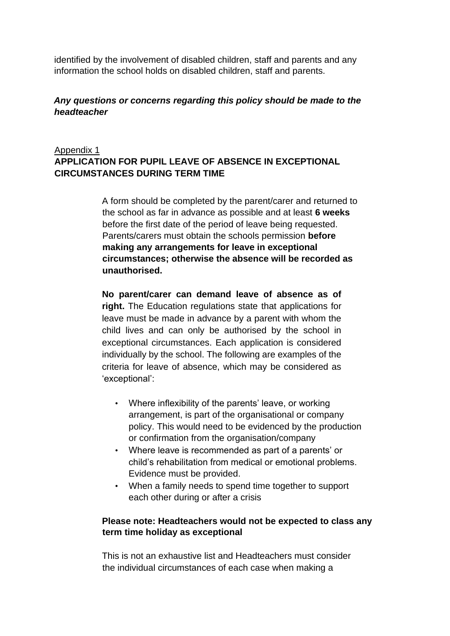identified by the involvement of disabled children, staff and parents and any information the school holds on disabled children, staff and parents.

### *Any questions or concerns regarding this policy should be made to the headteacher*

### Appendix 1 **APPLICATION FOR PUPIL LEAVE OF ABSENCE IN EXCEPTIONAL CIRCUMSTANCES DURING TERM TIME**

A form should be completed by the parent/carer and returned to the school as far in advance as possible and at least **6 weeks**  before the first date of the period of leave being requested. Parents/carers must obtain the schools permission **before making any arrangements for leave in exceptional circumstances; otherwise the absence will be recorded as unauthorised.**

**No parent/carer can demand leave of absence as of right.** The Education regulations state that applications for leave must be made in advance by a parent with whom the child lives and can only be authorised by the school in exceptional circumstances. Each application is considered individually by the school. The following are examples of the criteria for leave of absence, which may be considered as 'exceptional':

- Where inflexibility of the parents' leave, or working arrangement, is part of the organisational or company policy. This would need to be evidenced by the production or confirmation from the organisation/company
- Where leave is recommended as part of a parents' or child's rehabilitation from medical or emotional problems. Evidence must be provided.
- When a family needs to spend time together to support each other during or after a crisis

### **Please note: Headteachers would not be expected to class any term time holiday as exceptional**

This is not an exhaustive list and Headteachers must consider the individual circumstances of each case when making a